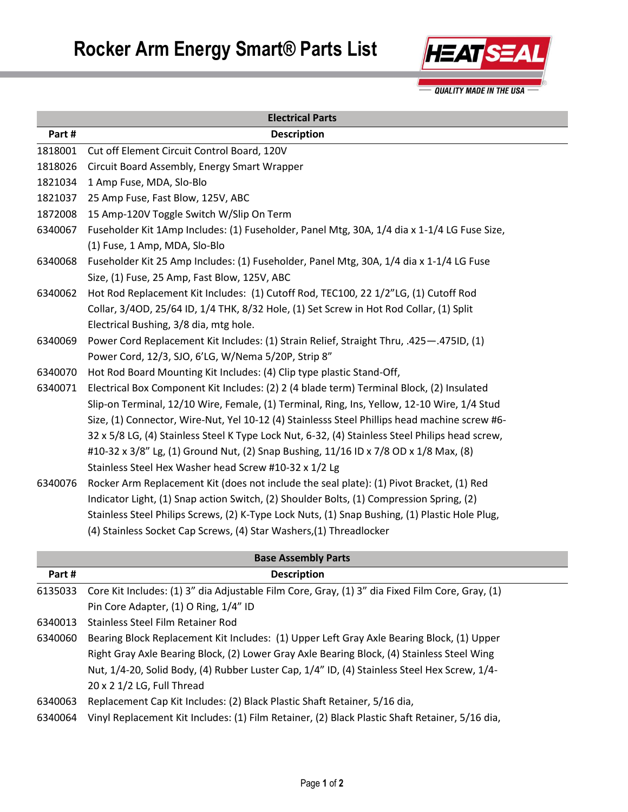

**Electrical Parts Part # Description** 1818001 Cut off Element Circuit Control Board, 120V 1818026 Circuit Board Assembly, Energy Smart Wrapper 1821034 1 Amp Fuse, MDA, Slo-Blo 1821037 25 Amp Fuse, Fast Blow, 125V, ABC 1872008 15 Amp-120V Toggle Switch W/Slip On Term 6340067 Fuseholder Kit 1Amp Includes: (1) Fuseholder, Panel Mtg, 30A, 1/4 dia x 1-1/4 LG Fuse Size, (1) Fuse, 1 Amp, MDA, Slo-Blo 6340068 Fuseholder Kit 25 Amp Includes: (1) Fuseholder, Panel Mtg, 30A, 1/4 dia x 1-1/4 LG Fuse Size, (1) Fuse, 25 Amp, Fast Blow, 125V, ABC 6340062 Hot Rod Replacement Kit Includes: (1) Cutoff Rod, TEC100, 22 1/2"LG, (1) Cutoff Rod Collar, 3/4OD, 25/64 ID, 1/4 THK, 8/32 Hole, (1) Set Screw in Hot Rod Collar, (1) Split Electrical Bushing, 3/8 dia, mtg hole. 6340069 Power Cord Replacement Kit Includes: (1) Strain Relief, Straight Thru, .425—.475ID, (1) Power Cord, 12/3, SJO, 6'LG, W/Nema 5/20P, Strip 8" 6340070 Hot Rod Board Mounting Kit Includes: (4) Clip type plastic Stand-Off, 6340071 Electrical Box Component Kit Includes: (2) 2 (4 blade term) Terminal Block, (2) Insulated Slip-on Terminal, 12/10 Wire, Female, (1) Terminal, Ring, Ins, Yellow, 12-10 Wire, 1/4 Stud Size, (1) Connector, Wire-Nut, Yel 10-12 (4) Stainlesss Steel Phillips head machine screw #6- 32 x 5/8 LG, (4) Stainless Steel K Type Lock Nut, 6-32, (4) Stainless Steel Philips head screw, #10-32 x 3/8" Lg, (1) Ground Nut, (2) Snap Bushing, 11/16 ID x 7/8 OD x 1/8 Max, (8) Stainless Steel Hex Washer head Screw #10-32 x 1/2 Lg 6340076 Rocker Arm Replacement Kit (does not include the seal plate): (1) Pivot Bracket, (1) Red Indicator Light, (1) Snap action Switch, (2) Shoulder Bolts, (1) Compression Spring, (2) Stainless Steel Philips Screws, (2) K-Type Lock Nuts, (1) Snap Bushing, (1) Plastic Hole Plug, (4) Stainless Socket Cap Screws, (4) Star Washers,(1) Threadlocker

| <b>Base Assembly Parts</b> |                                                                                                 |  |
|----------------------------|-------------------------------------------------------------------------------------------------|--|
| Part #                     | <b>Description</b>                                                                              |  |
| 6135033                    | Core Kit Includes: (1) 3" dia Adjustable Film Core, Gray, (1) 3" dia Fixed Film Core, Gray, (1) |  |
|                            | Pin Core Adapter, (1) O Ring, 1/4" ID                                                           |  |
| 6340013                    | Stainless Steel Film Retainer Rod                                                               |  |
| 6340060                    | Bearing Block Replacement Kit Includes: (1) Upper Left Gray Axle Bearing Block, (1) Upper       |  |
|                            | Right Gray Axle Bearing Block, (2) Lower Gray Axle Bearing Block, (4) Stainless Steel Wing      |  |
|                            | Nut, 1/4-20, Solid Body, (4) Rubber Luster Cap, 1/4" ID, (4) Stainless Steel Hex Screw, 1/4-    |  |
|                            | 20 x 2 1/2 LG, Full Thread                                                                      |  |
| 6340063                    | Replacement Cap Kit Includes: (2) Black Plastic Shaft Retainer, 5/16 dia,                       |  |
| 6340064                    | Vinyl Replacement Kit Includes: (1) Film Retainer, (2) Black Plastic Shaft Retainer, 5/16 dia,  |  |